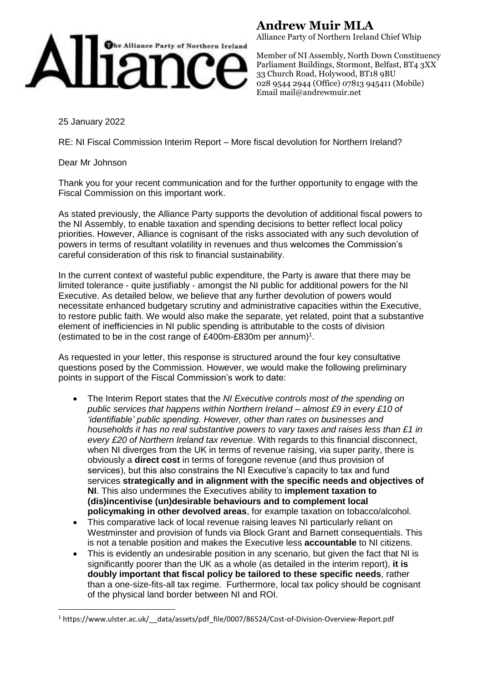

## **Andrew Muir MLA**

Alliance Party of Northern Ireland Chief Whip

Member of NI Assembly, North Down Constituency Parliament Buildings, Stormont, Belfast, BT4 3XX 33 Church Road, Holywood, BT18 9BU 028 9544 2944 (Office) 07813 945411 (Mobile) Email mail@andrewmuir.net

25 January 2022

RE: NI Fiscal Commission Interim Report – More fiscal devolution for Northern Ireland?

Dear Mr Johnson

**.** 

Thank you for your recent communication and for the further opportunity to engage with the Fiscal Commission on this important work.

As stated previously, the Alliance Party supports the devolution of additional fiscal powers to the NI Assembly, to enable taxation and spending decisions to better reflect local policy priorities. However, Alliance is cognisant of the risks associated with any such devolution of powers in terms of resultant volatility in revenues and thus welcomes the Commission's careful consideration of this risk to financial sustainability.

In the current context of wasteful public expenditure, the Party is aware that there may be limited tolerance - quite justifiably - amongst the NI public for additional powers for the NI Executive. As detailed below, we believe that any further devolution of powers would necessitate enhanced budgetary scrutiny and administrative capacities within the Executive, to restore public faith. We would also make the separate, yet related, point that a substantive element of inefficiencies in NI public spending is attributable to the costs of division (estimated to be in the cost range of £400m-£830m per annum)<sup>1</sup>.

As requested in your letter, this response is structured around the four key consultative questions posed by the Commission. However, we would make the following preliminary points in support of the Fiscal Commission's work to date:

- The Interim Report states that the *NI Executive controls most of the spending on public services that happens within Northern Ireland – almost £9 in every £10 of 'identifiable' public spending. However, other than rates on businesses and households it has no real substantive powers to vary taxes and raises less than £1 in every £20 of Northern Ireland tax revenue*. With regards to this financial disconnect, when NI diverges from the UK in terms of revenue raising, via super parity, there is obviously a **direct cost** in terms of foregone revenue (and thus provision of services), but this also constrains the NI Executive's capacity to tax and fund services **strategically and in alignment with the specific needs and objectives of NI**. This also undermines the Executives ability to **implement taxation to (dis)incentivise (un)desirable behaviours and to complement local policymaking in other devolved areas**, for example taxation on tobacco/alcohol.
- This comparative lack of local revenue raising leaves NI particularly reliant on Westminster and provision of funds via Block Grant and Barnett consequentials. This is not a tenable position and makes the Executive less **accountable** to NI citizens.
- This is evidently an undesirable position in any scenario, but given the fact that NI is significantly poorer than the UK as a whole (as detailed in the interim report), **it is doubly important that fiscal policy be tailored to these specific needs**, rather than a one-size-fits-all tax regime. Furthermore, local tax policy should be cognisant of the physical land border between NI and ROI.

<sup>1</sup> https://www.ulster.ac.uk/\_\_data/assets/pdf\_file/0007/86524/Cost-of-Division-Overview-Report.pdf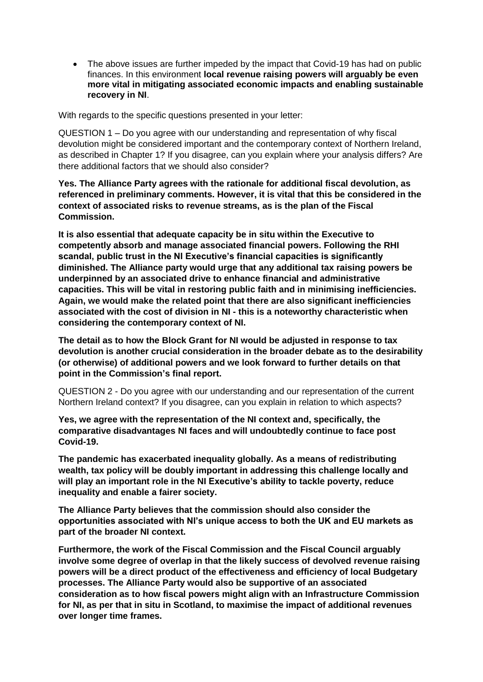The above issues are further impeded by the impact that Covid-19 has had on public finances. In this environment **local revenue raising powers will arguably be even more vital in mitigating associated economic impacts and enabling sustainable recovery in NI**.

With regards to the specific questions presented in your letter:

QUESTION 1 – Do you agree with our understanding and representation of why fiscal devolution might be considered important and the contemporary context of Northern Ireland, as described in Chapter 1? If you disagree, can you explain where your analysis differs? Are there additional factors that we should also consider?

**Yes. The Alliance Party agrees with the rationale for additional fiscal devolution, as referenced in preliminary comments. However, it is vital that this be considered in the context of associated risks to revenue streams, as is the plan of the Fiscal Commission.**

**It is also essential that adequate capacity be in situ within the Executive to competently absorb and manage associated financial powers. Following the RHI scandal, public trust in the NI Executive's financial capacities is significantly diminished. The Alliance party would urge that any additional tax raising powers be underpinned by an associated drive to enhance financial and administrative capacities. This will be vital in restoring public faith and in minimising inefficiencies. Again, we would make the related point that there are also significant inefficiencies associated with the cost of division in NI - this is a noteworthy characteristic when considering the contemporary context of NI.**

**The detail as to how the Block Grant for NI would be adjusted in response to tax devolution is another crucial consideration in the broader debate as to the desirability (or otherwise) of additional powers and we look forward to further details on that point in the Commission's final report.**

QUESTION 2 - Do you agree with our understanding and our representation of the current Northern Ireland context? If you disagree, can you explain in relation to which aspects?

**Yes, we agree with the representation of the NI context and, specifically, the comparative disadvantages NI faces and will undoubtedly continue to face post Covid-19.** 

**The pandemic has exacerbated inequality globally. As a means of redistributing wealth, tax policy will be doubly important in addressing this challenge locally and will play an important role in the NI Executive's ability to tackle poverty, reduce inequality and enable a fairer society.**

**The Alliance Party believes that the commission should also consider the opportunities associated with NI's unique access to both the UK and EU markets as part of the broader NI context.**

**Furthermore, the work of the Fiscal Commission and the Fiscal Council arguably involve some degree of overlap in that the likely success of devolved revenue raising powers will be a direct product of the effectiveness and efficiency of local Budgetary processes. The Alliance Party would also be supportive of an associated consideration as to how fiscal powers might align with an Infrastructure Commission for NI, as per that in situ in Scotland, to maximise the impact of additional revenues over longer time frames.**